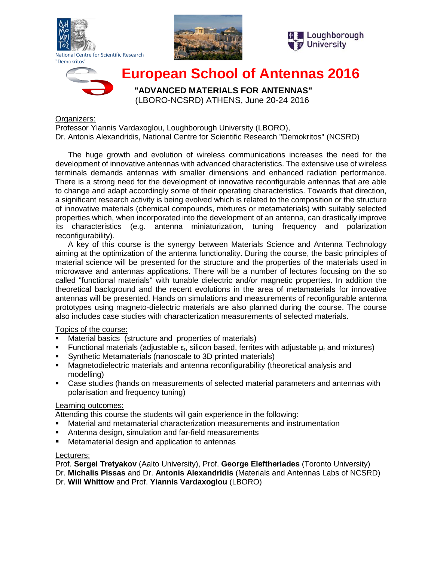







# **European School of Antennas 2016**

 **"ADVANCED MATERIALS FOR ANTENNAS"** (LBORO-NCSRD) ATHENS, June 20-24 2016

### Organizers:

Professor Yiannis Vardaxoglou, Loughborough University (LBORO), Dr. Antonis Alexandridis, National Centre for Scientific Research "Demokritos" (NCSRD)

The huge growth and evolution of wireless communications increases the need for the development of innovative antennas with advanced characteristics. The extensive use of wireless terminals demands antennas with smaller dimensions and enhanced radiation performance. There is a strong need for the development of innovative reconfigurable antennas that are able to change and adapt accordingly some of their operating characteristics. Towards that direction, a significant research activity is being evolved which is related to the composition or the structure of innovative materials (chemical compounds, mixtures or metamaterials) with suitably selected properties which, when incorporated into the development of an antenna, can drastically improve its characteristics (e.g. antenna miniaturization, tuning frequency and polarization reconfigurability).

A key of this course is the synergy between Materials Science and Antenna Technology aiming at the optimization of the antenna functionality. During the course, the basic principles of material science will be presented for the structure and the properties of the materials used in microwave and antennas applications. There will be a number of lectures focusing on the so called "functional materials" with tunable dielectric and/or magnetic properties. In addition the theoretical background and the recent evolutions in the area of metamaterials for innovative antennas will be presented. Hands on simulations and measurements of reconfigurable antenna prototypes using magneto-dielectric materials are also planned during the course. The course also includes case studies with characterization measurements of selected materials.

## Topics of the course:

- Material basics (structure and properties of materials)
- Functional materials (adjustable  $\varepsilon_r$ , silicon based, ferrites with adjustable  $\mu_r$  and mixtures)
- Synthetic Metamaterials (nanoscale to 3D printed materials)
- Magnetodielectric materials and antenna reconfigurability (theoretical analysis and modelling)
- Case studies (hands on measurements of selected material parameters and antennas with polarisation and frequency tuning)

## Learning outcomes:

Attending this course the students will gain experience in the following:

- Material and metamaterial characterization measurements and instrumentation
- Antenna design, simulation and far-field measurements
- Metamaterial design and application to antennas

## Lecturers:

Prof. **Sergei Tretyakov** (Aalto University), Prof. **George Eleftheriades** (Toronto University)

Dr. **Michalis Pissas** and Dr. **Antonis Alexandridis** (Materials and Antennas Labs of NCSRD)

Dr. **Will Whittow** and Prof. **Yiannis Vardaxoglou** (LBORO)